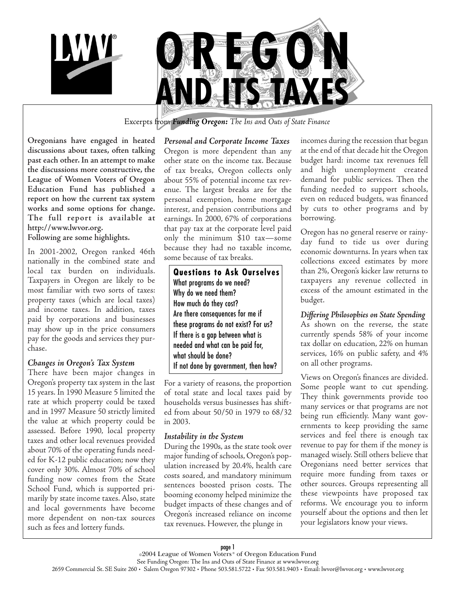



Excerpts from *Funding Oregon: The Ins an*d *Outs of State Finance*

**Oregonians have engaged in heated discussions about taxes, often talking past each other. In an attempt to make the discussions more constructive, the League of Women Voters of Oregon Education Fund has published a report on how the current tax system works and some options for change. The full report is available at http://www.lwvor.org. Following are some highlights.**

In 2001-2002, Oregon ranked 46th nationally in the combined state and local tax burden on individuals. Taxpayers in Oregon are likely to be most familiar with two sorts of taxes: property taxes (which are local taxes) and income taxes. In addition, taxes paid by corporations and businesses may show up in the price consumers pay for the goods and services they purchase.

#### *Changes in Oregon's Tax System*

There have been major changes in Oregon's property tax system in the last 15 years. In 1990 Measure 5 limited the rate at which property could be taxed and in 1997 Measure 50 strictly limited the value at which property could be assessed. Before 1990, local property taxes and other local revenues provided about 70% of the operating funds needed for K-12 public education; now they cover only 30%. Almost 70% of school funding now comes from the State School Fund, which is supported primarily by state income taxes. Also, state and local governments have become more dependent on non-tax sources such as fees and lottery funds.

*Personal and Corporate Income Taxes* Oregon is more dependent than any other state on the income tax. Because of tax breaks, Oregon collects only about 55% of potential income tax revenue. The largest breaks are for the personal exemption, home mortgage interest, and pension contributions and earnings. In 2000, 67% of corporations that pay tax at the corporate level paid only the minimum \$10 tax—some because they had no taxable income, some because of tax breaks.

What programs do we need? Why do we need them? How much do they cost? Are there consequences for me if these programs do not exist? For us? If there is a gap between what is needed and what can be paid for, what should be done? If not done by government, then how? **Questions to Ask Ourselves**

For a variety of reasons, the proportion of total state and local taxes paid by households versus businesses has shifted from about 50/50 in 1979 to 68/32 in 2003.

#### *Instability in the System*

During the 1990s, as the state took over major funding of schools, Oregon's population increased by 20.4%, health care costs soared, and mandatory minimum sentences boosted prison costs. The booming economy helped minimize the budget impacts of these changes and of Oregon's increased reliance on income tax revenues. However, the plunge in

incomes during the recession that began at the end of that decade hit the Oregon budget hard: income tax revenues fell and high unemployment created demand for public services. Then the funding needed to support schools, even on reduced budgets, was financed by cuts to other programs and by borrowing.

Oregon has no general reserve or rainyday fund to tide us over during economic downturns. In years when tax collections exceed estimates by more than 2%, Oregon's kicker law returns to taxpayers any revenue collected in excess of the amount estimated in the budget.

*Differing Philosophies on State Spending* As shown on the reverse, the state currently spends 58% of your income tax dollar on education, 22% on human services, 16% on public safety, and 4% on all other programs.

Views on Oregon's finances are divided. Some people want to cut spending. They think governments provide too many services or that programs are not being run efficiently. Many want governments to keep providing the same services and feel there is enough tax revenue to pay for them if the money is managed wisely. Still others believe that Oregonians need better services that require more funding from taxes or other sources. Groups representing all these viewpoints have proposed tax reforms. We encourage you to inform yourself about the options and then let your legislators know your views.